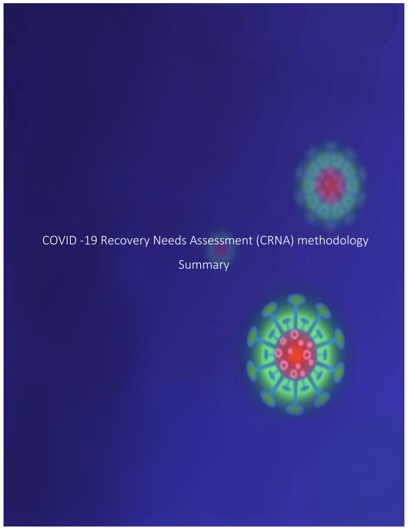## COVID -19 Recovery Needs Assessment (CRNA) methodology

Summary

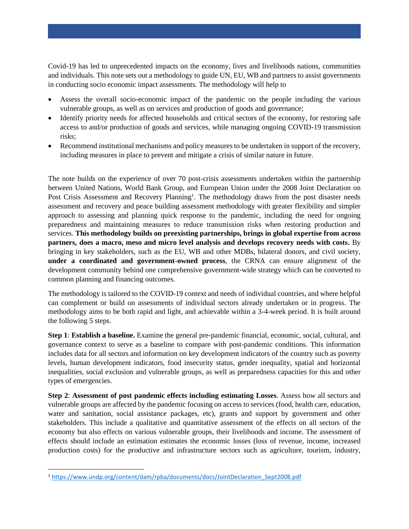Covid-19 has led to unprecedented impacts on the economy, lives and livelihoods nations, communities and individuals. This note sets out a methodology to guide UN, EU, WB and partners to assist governments in conducting socio economic impact assessments. The methodology will help to

- Assess the overall socio-economic impact of the pandemic on the people including the various vulnerable groups, as well as on services and production of goods and governance;
- Identify priority needs for affected households and critical sectors of the economy, for restoring safe access to and/or production of goods and services, while managing ongoing COVID-19 transmission risks;
- Recommend institutional mechanisms and policy measures to be undertaken in support of the recovery, including measures in place to prevent and mitigate a crisis of similar nature in future.

The note builds on the experience of over 70 post-crisis assessments undertaken within the partnership between United Nations, World Bank Group, and European Union under the 2008 Joint Declaration on Post Crisis Assessment and Recovery Planning<sup>1</sup>. The methodology draws from the post disaster needs assessment and recovery and peace building assessment methodology with greater flexibility and simpler approach to assessing and planning quick response to the pandemic, including the need for ongoing preparedness and maintaining measures to reduce transmission risks when restoring production and services. **This methodology builds on preexisting partnerships, brings in global expertise from across partners, does a macro, meso and micro level analysis and develops recovery needs with costs.** By bringing in key stakeholders, such as the EU, WB and other MDBs, bilateral donors, and civil society, **under a coordinated and government-owned process**, the CRNA can ensure alignment of the development community behind one comprehensive government-wide strategy which can be converted to common planning and financing outcomes.

The methodology is tailored to the COVID-19 context and needs of individual countries, and where helpful can complement or build on assessments of individual sectors already undertaken or in progress. The methodology aims to be both rapid and light, and achievable within a 3-4-week period. It is built around the following 5 steps.

**Step 1**: **Establish a baseline.** Examine the general pre-pandemic financial, economic, social, cultural, and governance context to serve as a baseline to compare with post-pandemic conditions. This information includes data for all sectors and information on key development indicators of the country such as poverty levels, human development indicators, food insecurity status, gender inequality, spatial and horizontal inequalities, social exclusion and vulnerable groups, as well as preparedness capacities for this and other types of emergencies.

**Step 2**: **Assessment of post pandemic effects including estimating Losses**. Assess how all sectors and vulnerable groups are affected by the pandemic focusing on access to services (food, health care, education, water and sanitation, social assistance packages, etc), grants and support by government and other stakeholders. This include a qualitative and quantitative assessment of the effects on all sectors of the economy but also effects on various vulnerable groups, their livelihoods and income. The assessment of effects should include an estimation estimates the economic losses (loss of revenue, income, increased production costs) for the productive and infrastructure sectors such as agriculture, tourism, industry,

<sup>1</sup> [https://www.undp.org/content/dam/rpba/documents/docs/JointDeclaration\\_Sept2008.pdf](https://eur03.safelinks.protection.outlook.com/?url=https%3A%2F%2Fwww.undp.org%2Fcontent%2Fdam%2Frpba%2Fdocuments%2Fdocs%2FJointDeclaration_Sept2008.pdf&data=02%7C01%7Crita.missal%40undp.org%7C9d5bda1c761b4e9ad71208d7f54060c8%7Cb3e5db5e2944483799f57488ace54319%7C0%7C0%7C637247529154167950&sdata=xPnPBy%2F7Nzh31HthJOo6aX6JLdv0OTJRqf1VovH85dY%3D&reserved=0)